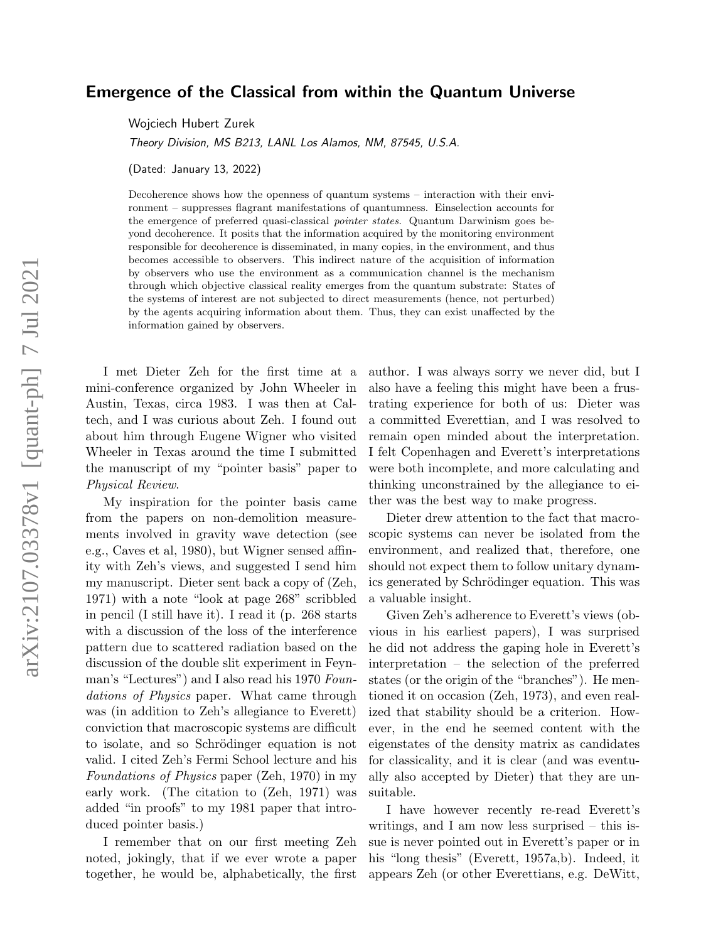# Emergence of the Classical from within the Quantum Universe

Wojciech Hubert Zurek

Theory Division, MS B213, LANL Los Alamos, NM, 87545, U.S.A.

(Dated: January 13, 2022)

Decoherence shows how the openness of quantum systems – interaction with their environment – suppresses flagrant manifestations of quantumness. Einselection accounts for the emergence of preferred quasi-classical pointer states. Quantum Darwinism goes beyond decoherence. It posits that the information acquired by the monitoring environment responsible for decoherence is disseminated, in many copies, in the environment, and thus becomes accessible to observers. This indirect nature of the acquisition of information by observers who use the environment as a communication channel is the mechanism through which objective classical reality emerges from the quantum substrate: States of the systems of interest are not subjected to direct measurements (hence, not perturbed) by the agents acquiring information about them. Thus, they can exist unaffected by the information gained by observers.

I met Dieter Zeh for the first time at a mini-conference organized by John Wheeler in Austin, Texas, circa 1983. I was then at Caltech, and I was curious about Zeh. I found out about him through Eugene Wigner who visited Wheeler in Texas around the time I submitted the manuscript of my "pointer basis" paper to Physical Review.

My inspiration for the pointer basis came from the papers on non-demolition measurements involved in gravity wave detection (see e.g., Caves et al, 1980), but Wigner sensed affinity with Zeh's views, and suggested I send him my manuscript. Dieter sent back a copy of (Zeh, 1971) with a note "look at page 268" scribbled in pencil (I still have it). I read it (p. 268 starts with a discussion of the loss of the interference pattern due to scattered radiation based on the discussion of the double slit experiment in Feynman's "Lectures") and I also read his 1970 Foundations of Physics paper. What came through was (in addition to Zeh's allegiance to Everett) conviction that macroscopic systems are difficult to isolate, and so Schrödinger equation is not valid. I cited Zeh's Fermi School lecture and his Foundations of Physics paper (Zeh, 1970) in my early work. (The citation to (Zeh, 1971) was added "in proofs" to my 1981 paper that introduced pointer basis.)

I remember that on our first meeting Zeh noted, jokingly, that if we ever wrote a paper together, he would be, alphabetically, the first

author. I was always sorry we never did, but I also have a feeling this might have been a frustrating experience for both of us: Dieter was a committed Everettian, and I was resolved to remain open minded about the interpretation. I felt Copenhagen and Everett's interpretations were both incomplete, and more calculating and thinking unconstrained by the allegiance to either was the best way to make progress.

Dieter drew attention to the fact that macroscopic systems can never be isolated from the environment, and realized that, therefore, one should not expect them to follow unitary dynamics generated by Schrödinger equation. This was a valuable insight.

Given Zeh's adherence to Everett's views (obvious in his earliest papers), I was surprised he did not address the gaping hole in Everett's interpretation – the selection of the preferred states (or the origin of the "branches"). He mentioned it on occasion (Zeh, 1973), and even realized that stability should be a criterion. However, in the end he seemed content with the eigenstates of the density matrix as candidates for classicality, and it is clear (and was eventually also accepted by Dieter) that they are unsuitable.

I have however recently re-read Everett's writings, and I am now less surprised – this issue is never pointed out in Everett's paper or in his "long thesis" (Everett, 1957a,b). Indeed, it appears Zeh (or other Everettians, e.g. DeWitt,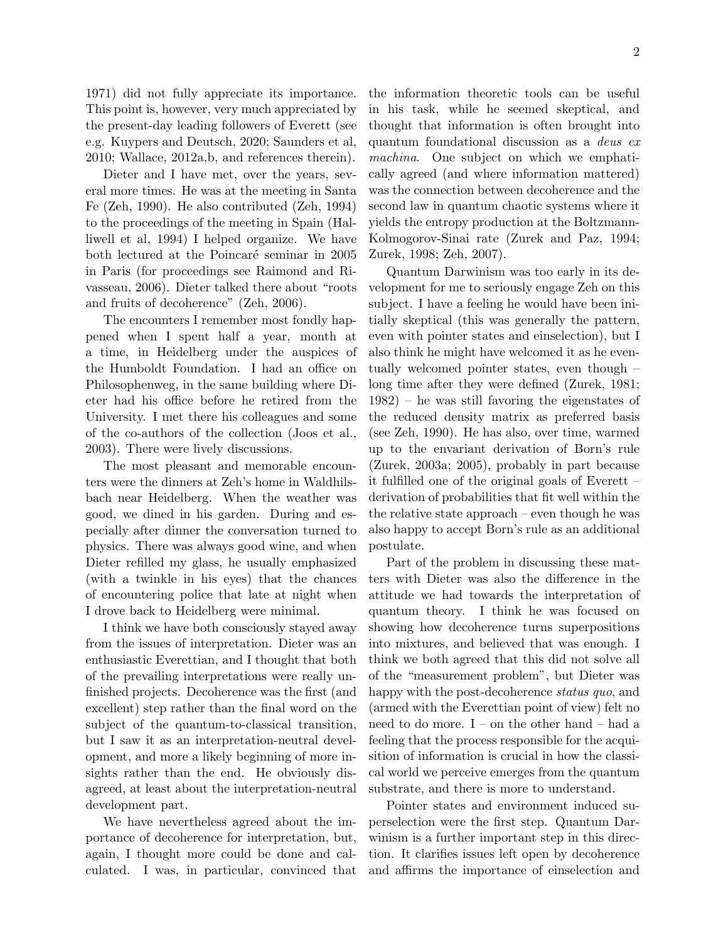1971) did not fully appreciate its importance. This point is, however, very much appreciated by the present-day leading followers of Everett (see e.g. Kuypers and Deutsch, 2020; Saunders et al, 2010; Wallace, 2012a,b, and references therein).

Dieter and I have met, over the years, several more times. He was at the meeting in Santa Fe (Zeh, 1990). He also contributed (Zeh, 1994) to the proceedings of the meeting in Spain (Halliwell et al, 1994) I helped organize. We have both lectured at the Poincaré seminar in 2005 in Paris (for proceedings see Raimond and Rivasseau, 2006). Dieter talked there about "roots and fruits of decoherence" (Zeh, 2006).

The encounters I remember most fondly happened when I spent half a year, month at a time, in Heidelberg under the auspices of the Humboldt Foundation. I had an office on Philosophenweg, in the same building where Dieter had his office before he retired from the University. I met there his colleagues and some of the co-authors of the collection (Joos et al., 2003). There were lively discussions.

The most pleasant and memorable encounters were the dinners at Zeh's home in Waldhilsbach near Heidelberg. When the weather was good, we dined in his garden. During and especially after dinner the conversation turned to physics. There was always good wine, and when Dieter refilled my glass, he usually emphasized (with a twinkle in his eyes) that the chances of encountering police that late at night when I drove back to Heidelberg were minimal.

I think we have both consciously stayed away from the issues of interpretation. Dieter was an enthusiastic Everettian, and I thought that both of the prevailing interpretations were really unfinished projects. Decoherence was the first (and excellent) step rather than the final word on the subject of the quantum-to-classical transition, but I saw it as an interpretation-neutral development, and more a likely beginning of more insights rather than the end. He obviously disagreed, at least about the interpretation-neutral development part.

We have nevertheless agreed about the importance of decoherence for interpretation, but, again, I thought more could be done and calculated. I was, in particular, convinced that the information theoretic tools can be useful in his task, while he seemed skeptical, and thought that information is often brought into quantum foundational discussion as a deus ex machina. One subject on which we emphatically agreed (and where information mattered) was the connection between decoherence and the second law in quantum chaotic systems where it yields the entropy production at the Boltzmann-Kolmogorov-Sinai rate (Zurek and Paz, 1994; Zurek, 1998; Zeh, 2007).

Quantum Darwinism was too early in its development for me to seriously engage Zeh on this subject. I have a feeling he would have been initially skeptical (this was generally the pattern, even with pointer states and einselection), but I also think he might have welcomed it as he eventually welcomed pointer states, even though – long time after they were defined (Zurek, 1981; 1982) – he was still favoring the eigenstates of the reduced density matrix as preferred basis (see Zeh, 1990). He has also, over time, warmed up to the envariant derivation of Born's rule (Zurek, 2003a; 2005), probably in part because it fulfilled one of the original goals of Everett – derivation of probabilities that fit well within the the relative state approach – even though he was also happy to accept Born's rule as an additional postulate.

Part of the problem in discussing these matters with Dieter was also the difference in the attitude we had towards the interpretation of quantum theory. I think he was focused on showing how decoherence turns superpositions into mixtures, and believed that was enough. I think we both agreed that this did not solve all of the "measurement problem", but Dieter was happy with the post-decoherence *status quo*, and (armed with the Everettian point of view) felt no need to do more. I – on the other hand – had a feeling that the process responsible for the acquisition of information is crucial in how the classical world we perceive emerges from the quantum substrate, and there is more to understand.

Pointer states and environment induced superselection were the first step. Quantum Darwinism is a further important step in this direction. It clarifies issues left open by decoherence and affirms the importance of einselection and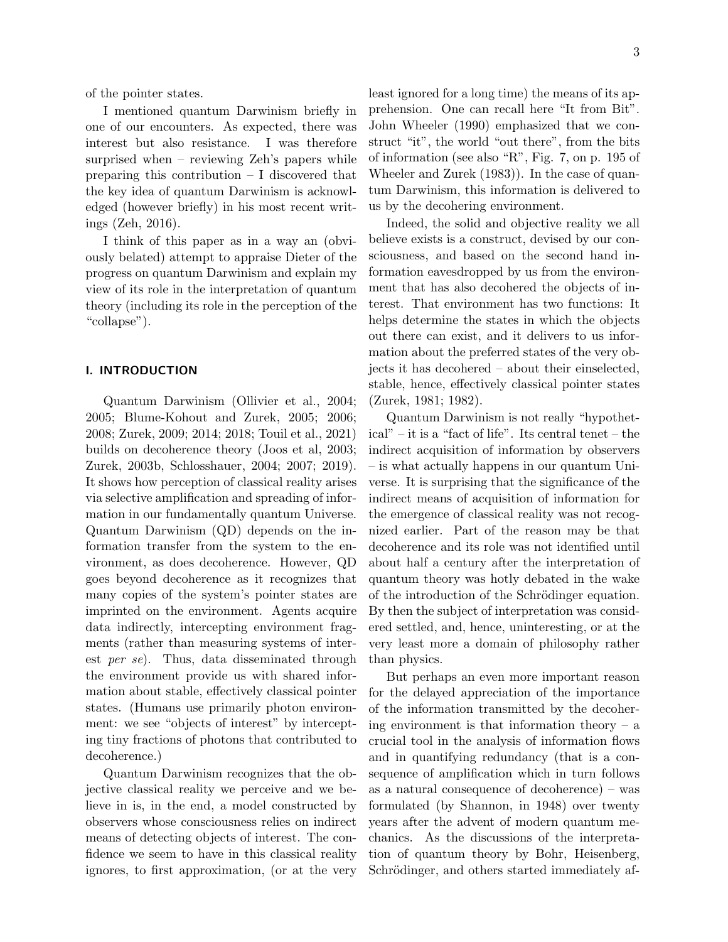of the pointer states.

I mentioned quantum Darwinism briefly in one of our encounters. As expected, there was interest but also resistance. I was therefore surprised when – reviewing Zeh's papers while preparing this contribution – I discovered that the key idea of quantum Darwinism is acknowledged (however briefly) in his most recent writings (Zeh, 2016).

I think of this paper as in a way an (obviously belated) attempt to appraise Dieter of the progress on quantum Darwinism and explain my view of its role in the interpretation of quantum theory (including its role in the perception of the "collapse").

### I. INTRODUCTION

Quantum Darwinism (Ollivier et al., 2004; 2005; Blume-Kohout and Zurek, 2005; 2006; 2008; Zurek, 2009; 2014; 2018; Touil et al., 2021) builds on decoherence theory (Joos et al, 2003; Zurek, 2003b, Schlosshauer, 2004; 2007; 2019). It shows how perception of classical reality arises via selective amplification and spreading of information in our fundamentally quantum Universe. Quantum Darwinism (QD) depends on the information transfer from the system to the environment, as does decoherence. However, QD goes beyond decoherence as it recognizes that many copies of the system's pointer states are imprinted on the environment. Agents acquire data indirectly, intercepting environment fragments (rather than measuring systems of interest per se). Thus, data disseminated through the environment provide us with shared information about stable, effectively classical pointer states. (Humans use primarily photon environment: we see "objects of interest" by intercepting tiny fractions of photons that contributed to decoherence.)

Quantum Darwinism recognizes that the objective classical reality we perceive and we believe in is, in the end, a model constructed by observers whose consciousness relies on indirect means of detecting objects of interest. The confidence we seem to have in this classical reality ignores, to first approximation, (or at the very least ignored for a long time) the means of its apprehension. One can recall here "It from Bit". John Wheeler (1990) emphasized that we construct "it", the world "out there", from the bits of information (see also "R", Fig. 7, on p. 195 of Wheeler and Zurek (1983)). In the case of quantum Darwinism, this information is delivered to us by the decohering environment.

Indeed, the solid and objective reality we all believe exists is a construct, devised by our consciousness, and based on the second hand information eavesdropped by us from the environment that has also decohered the objects of interest. That environment has two functions: It helps determine the states in which the objects out there can exist, and it delivers to us information about the preferred states of the very objects it has decohered – about their einselected, stable, hence, effectively classical pointer states (Zurek, 1981; 1982).

Quantum Darwinism is not really "hypothetical" – it is a "fact of life". Its central tenet – the indirect acquisition of information by observers – is what actually happens in our quantum Universe. It is surprising that the significance of the indirect means of acquisition of information for the emergence of classical reality was not recognized earlier. Part of the reason may be that decoherence and its role was not identified until about half a century after the interpretation of quantum theory was hotly debated in the wake of the introduction of the Schrödinger equation. By then the subject of interpretation was considered settled, and, hence, uninteresting, or at the very least more a domain of philosophy rather than physics.

But perhaps an even more important reason for the delayed appreciation of the importance of the information transmitted by the decohering environment is that information theory  $-$  a crucial tool in the analysis of information flows and in quantifying redundancy (that is a consequence of amplification which in turn follows as a natural consequence of decoherence) – was formulated (by Shannon, in 1948) over twenty years after the advent of modern quantum mechanics. As the discussions of the interpretation of quantum theory by Bohr, Heisenberg, Schrödinger, and others started immediately af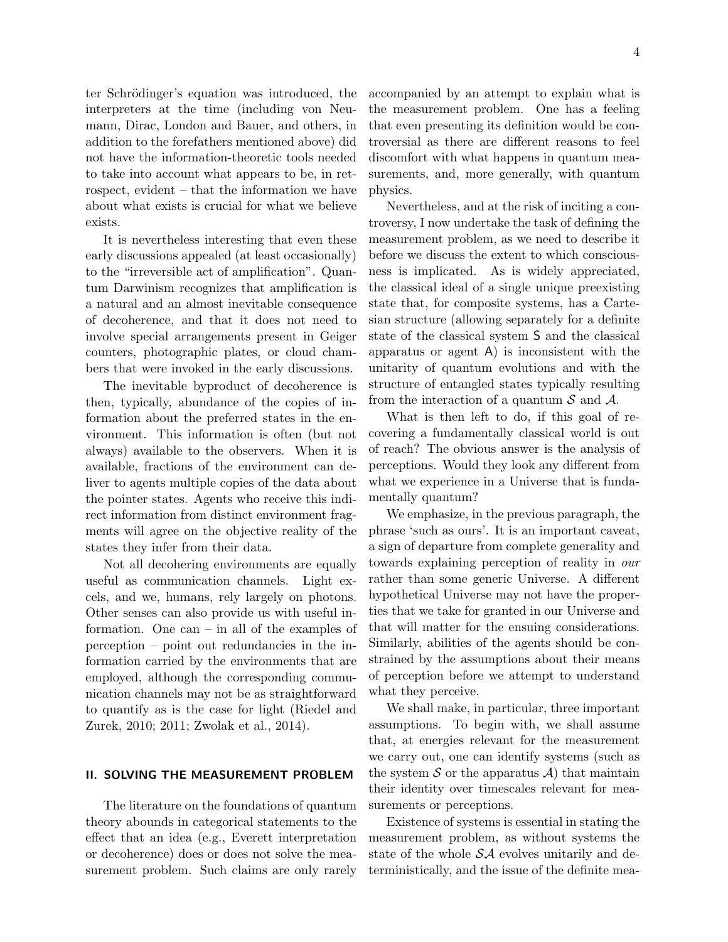ter Schrödinger's equation was introduced, the interpreters at the time (including von Neumann, Dirac, London and Bauer, and others, in addition to the forefathers mentioned above) did not have the information-theoretic tools needed to take into account what appears to be, in retrospect, evident – that the information we have about what exists is crucial for what we believe exists.

It is nevertheless interesting that even these early discussions appealed (at least occasionally) to the "irreversible act of amplification". Quantum Darwinism recognizes that amplification is a natural and an almost inevitable consequence of decoherence, and that it does not need to involve special arrangements present in Geiger counters, photographic plates, or cloud chambers that were invoked in the early discussions.

The inevitable byproduct of decoherence is then, typically, abundance of the copies of information about the preferred states in the environment. This information is often (but not always) available to the observers. When it is available, fractions of the environment can deliver to agents multiple copies of the data about the pointer states. Agents who receive this indirect information from distinct environment fragments will agree on the objective reality of the states they infer from their data.

Not all decohering environments are equally useful as communication channels. Light excels, and we, humans, rely largely on photons. Other senses can also provide us with useful information. One can – in all of the examples of perception – point out redundancies in the information carried by the environments that are employed, although the corresponding communication channels may not be as straightforward to quantify as is the case for light (Riedel and Zurek, 2010; 2011; Zwolak et al., 2014).

## II. SOLVING THE MEASUREMENT PROBLEM

The literature on the foundations of quantum theory abounds in categorical statements to the effect that an idea (e.g., Everett interpretation or decoherence) does or does not solve the measurement problem. Such claims are only rarely accompanied by an attempt to explain what is the measurement problem. One has a feeling that even presenting its definition would be controversial as there are different reasons to feel discomfort with what happens in quantum measurements, and, more generally, with quantum physics.

Nevertheless, and at the risk of inciting a controversy, I now undertake the task of defining the measurement problem, as we need to describe it before we discuss the extent to which consciousness is implicated. As is widely appreciated, the classical ideal of a single unique preexisting state that, for composite systems, has a Cartesian structure (allowing separately for a definite state of the classical system S and the classical apparatus or agent A) is inconsistent with the unitarity of quantum evolutions and with the structure of entangled states typically resulting from the interaction of a quantum  $\mathcal S$  and  $\mathcal A$ .

What is then left to do, if this goal of recovering a fundamentally classical world is out of reach? The obvious answer is the analysis of perceptions. Would they look any different from what we experience in a Universe that is fundamentally quantum?

We emphasize, in the previous paragraph, the phrase 'such as ours'. It is an important caveat, a sign of departure from complete generality and towards explaining perception of reality in our rather than some generic Universe. A different hypothetical Universe may not have the properties that we take for granted in our Universe and that will matter for the ensuing considerations. Similarly, abilities of the agents should be constrained by the assumptions about their means of perception before we attempt to understand what they perceive.

We shall make, in particular, three important assumptions. To begin with, we shall assume that, at energies relevant for the measurement we carry out, one can identify systems (such as the system S or the apparatus  $\mathcal{A}$  that maintain their identity over timescales relevant for measurements or perceptions.

Existence of systems is essential in stating the measurement problem, as without systems the state of the whole  $S\mathcal{A}$  evolves unitarily and deterministically, and the issue of the definite mea-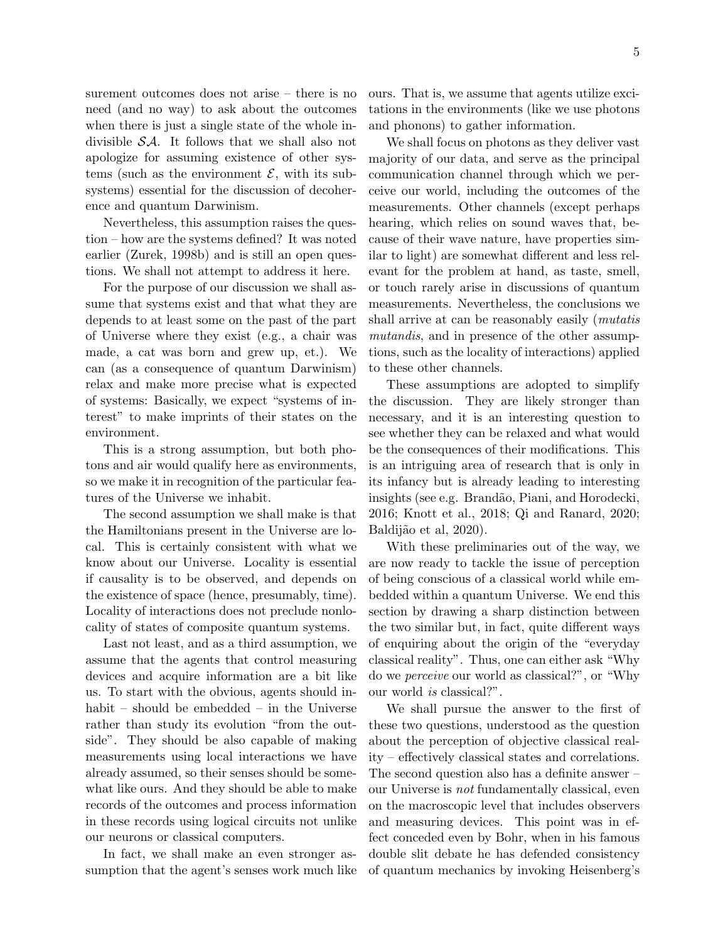5

surement outcomes does not arise – there is no need (and no way) to ask about the outcomes when there is just a single state of the whole indivisible SA. It follows that we shall also not apologize for assuming existence of other systems (such as the environment  $\mathcal{E}$ , with its subsystems) essential for the discussion of decoherence and quantum Darwinism.

Nevertheless, this assumption raises the question – how are the systems defined? It was noted earlier (Zurek, 1998b) and is still an open questions. We shall not attempt to address it here.

For the purpose of our discussion we shall assume that systems exist and that what they are depends to at least some on the past of the part of Universe where they exist (e.g., a chair was made, a cat was born and grew up, et.). We can (as a consequence of quantum Darwinism) relax and make more precise what is expected of systems: Basically, we expect "systems of interest" to make imprints of their states on the environment.

This is a strong assumption, but both photons and air would qualify here as environments, so we make it in recognition of the particular features of the Universe we inhabit.

The second assumption we shall make is that the Hamiltonians present in the Universe are local. This is certainly consistent with what we know about our Universe. Locality is essential if causality is to be observed, and depends on the existence of space (hence, presumably, time). Locality of interactions does not preclude nonlocality of states of composite quantum systems.

Last not least, and as a third assumption, we assume that the agents that control measuring devices and acquire information are a bit like us. To start with the obvious, agents should inhabit – should be embedded – in the Universe rather than study its evolution "from the outside". They should be also capable of making measurements using local interactions we have already assumed, so their senses should be somewhat like ours. And they should be able to make records of the outcomes and process information in these records using logical circuits not unlike our neurons or classical computers.

In fact, we shall make an even stronger assumption that the agent's senses work much like ours. That is, we assume that agents utilize excitations in the environments (like we use photons and phonons) to gather information.

We shall focus on photons as they deliver vast majority of our data, and serve as the principal communication channel through which we perceive our world, including the outcomes of the measurements. Other channels (except perhaps hearing, which relies on sound waves that, because of their wave nature, have properties similar to light) are somewhat different and less relevant for the problem at hand, as taste, smell, or touch rarely arise in discussions of quantum measurements. Nevertheless, the conclusions we shall arrive at can be reasonably easily (*mutatis* mutandis, and in presence of the other assumptions, such as the locality of interactions) applied to these other channels.

These assumptions are adopted to simplify the discussion. They are likely stronger than necessary, and it is an interesting question to see whether they can be relaxed and what would be the consequences of their modifications. This is an intriguing area of research that is only in its infancy but is already leading to interesting insights (see e.g. Brand˜ao, Piani, and Horodecki, 2016; Knott et al., 2018; Qi and Ranard, 2020; Baldijão et al, 2020).

With these preliminaries out of the way, we are now ready to tackle the issue of perception of being conscious of a classical world while embedded within a quantum Universe. We end this section by drawing a sharp distinction between the two similar but, in fact, quite different ways of enquiring about the origin of the "everyday classical reality". Thus, one can either ask "Why do we perceive our world as classical?", or "Why our world is classical?".

We shall pursue the answer to the first of these two questions, understood as the question about the perception of objective classical reality – effectively classical states and correlations. The second question also has a definite answer – our Universe is not fundamentally classical, even on the macroscopic level that includes observers and measuring devices. This point was in effect conceded even by Bohr, when in his famous double slit debate he has defended consistency of quantum mechanics by invoking Heisenberg's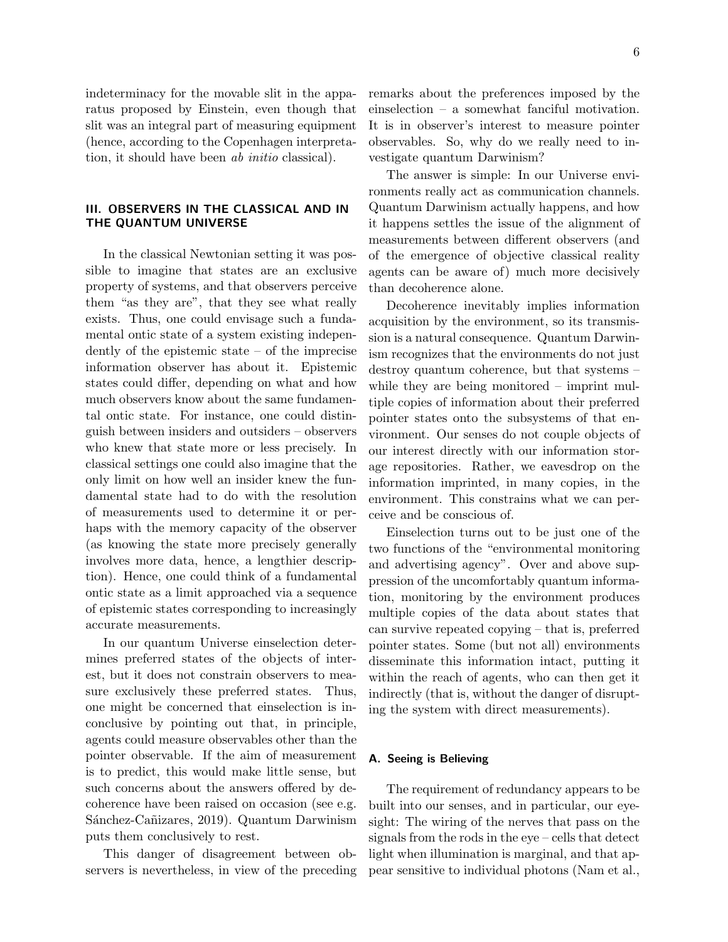indeterminacy for the movable slit in the apparatus proposed by Einstein, even though that slit was an integral part of measuring equipment (hence, according to the Copenhagen interpretation, it should have been *ab initio* classical).

## III. OBSERVERS IN THE CLASSICAL AND IN THE QUANTUM UNIVERSE

In the classical Newtonian setting it was possible to imagine that states are an exclusive property of systems, and that observers perceive them "as they are", that they see what really exists. Thus, one could envisage such a fundamental ontic state of a system existing independently of the epistemic state – of the imprecise information observer has about it. Epistemic states could differ, depending on what and how much observers know about the same fundamental ontic state. For instance, one could distinguish between insiders and outsiders – observers who knew that state more or less precisely. In classical settings one could also imagine that the only limit on how well an insider knew the fundamental state had to do with the resolution of measurements used to determine it or perhaps with the memory capacity of the observer (as knowing the state more precisely generally involves more data, hence, a lengthier description). Hence, one could think of a fundamental ontic state as a limit approached via a sequence of epistemic states corresponding to increasingly accurate measurements.

In our quantum Universe einselection determines preferred states of the objects of interest, but it does not constrain observers to measure exclusively these preferred states. Thus, one might be concerned that einselection is inconclusive by pointing out that, in principle, agents could measure observables other than the pointer observable. If the aim of measurement is to predict, this would make little sense, but such concerns about the answers offered by decoherence have been raised on occasion (see e.g. Sánchez-Cañizares, 2019). Quantum Darwinism puts them conclusively to rest.

This danger of disagreement between observers is nevertheless, in view of the preceding remarks about the preferences imposed by the einselection – a somewhat fanciful motivation. It is in observer's interest to measure pointer observables. So, why do we really need to investigate quantum Darwinism?

The answer is simple: In our Universe environments really act as communication channels. Quantum Darwinism actually happens, and how it happens settles the issue of the alignment of measurements between different observers (and of the emergence of objective classical reality agents can be aware of) much more decisively than decoherence alone.

Decoherence inevitably implies information acquisition by the environment, so its transmission is a natural consequence. Quantum Darwinism recognizes that the environments do not just destroy quantum coherence, but that systems – while they are being monitored – imprint multiple copies of information about their preferred pointer states onto the subsystems of that environment. Our senses do not couple objects of our interest directly with our information storage repositories. Rather, we eavesdrop on the information imprinted, in many copies, in the environment. This constrains what we can perceive and be conscious of.

Einselection turns out to be just one of the two functions of the "environmental monitoring and advertising agency". Over and above suppression of the uncomfortably quantum information, monitoring by the environment produces multiple copies of the data about states that can survive repeated copying – that is, preferred pointer states. Some (but not all) environments disseminate this information intact, putting it within the reach of agents, who can then get it indirectly (that is, without the danger of disrupting the system with direct measurements).

## A. Seeing is Believing

The requirement of redundancy appears to be built into our senses, and in particular, our eyesight: The wiring of the nerves that pass on the signals from the rods in the eye – cells that detect light when illumination is marginal, and that appear sensitive to individual photons (Nam et al.,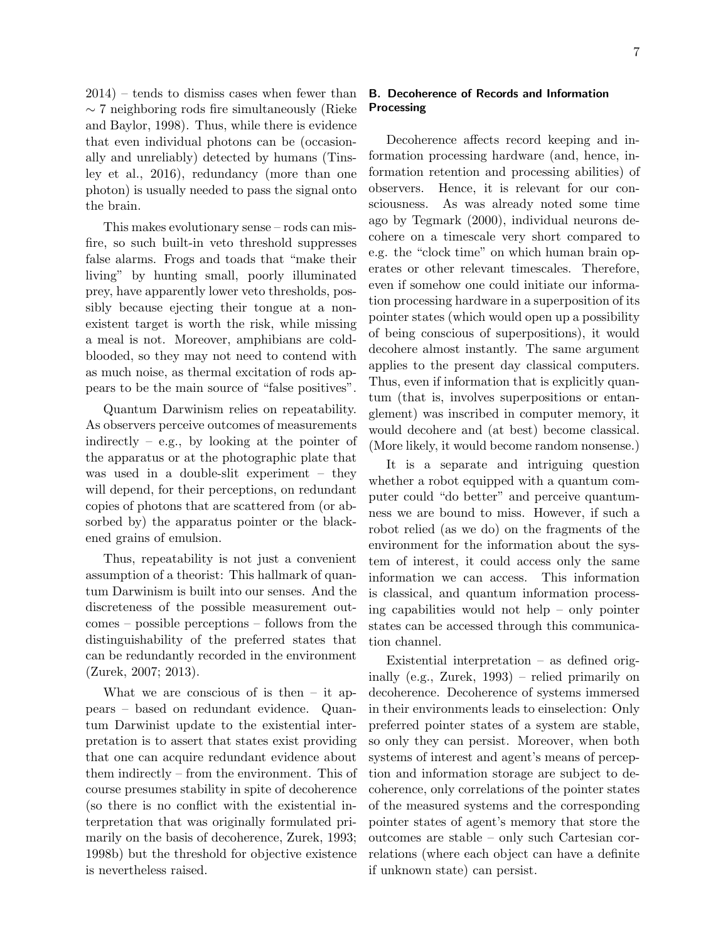2014) – tends to dismiss cases when fewer than ∼ 7 neighboring rods fire simultaneously (Rieke and Baylor, 1998). Thus, while there is evidence that even individual photons can be (occasionally and unreliably) detected by humans (Tinsley et al., 2016), redundancy (more than one photon) is usually needed to pass the signal onto the brain.

This makes evolutionary sense – rods can misfire, so such built-in veto threshold suppresses false alarms. Frogs and toads that "make their living" by hunting small, poorly illuminated prey, have apparently lower veto thresholds, possibly because ejecting their tongue at a nonexistent target is worth the risk, while missing a meal is not. Moreover, amphibians are coldblooded, so they may not need to contend with as much noise, as thermal excitation of rods appears to be the main source of "false positives".

Quantum Darwinism relies on repeatability. As observers perceive outcomes of measurements indirectly – e.g., by looking at the pointer of the apparatus or at the photographic plate that was used in a double-slit experiment – they will depend, for their perceptions, on redundant copies of photons that are scattered from (or absorbed by) the apparatus pointer or the blackened grains of emulsion.

Thus, repeatability is not just a convenient assumption of a theorist: This hallmark of quantum Darwinism is built into our senses. And the discreteness of the possible measurement outcomes – possible perceptions – follows from the distinguishability of the preferred states that can be redundantly recorded in the environment (Zurek, 2007; 2013).

What we are conscious of is then  $-$  it appears – based on redundant evidence. Quantum Darwinist update to the existential interpretation is to assert that states exist providing that one can acquire redundant evidence about them indirectly – from the environment. This of course presumes stability in spite of decoherence (so there is no conflict with the existential interpretation that was originally formulated primarily on the basis of decoherence, Zurek, 1993; 1998b) but the threshold for objective existence is nevertheless raised.

## B. Decoherence of Records and Information Processing

Decoherence affects record keeping and information processing hardware (and, hence, information retention and processing abilities) of observers. Hence, it is relevant for our consciousness. As was already noted some time ago by Tegmark (2000), individual neurons decohere on a timescale very short compared to e.g. the "clock time" on which human brain operates or other relevant timescales. Therefore, even if somehow one could initiate our information processing hardware in a superposition of its pointer states (which would open up a possibility of being conscious of superpositions), it would decohere almost instantly. The same argument applies to the present day classical computers. Thus, even if information that is explicitly quantum (that is, involves superpositions or entanglement) was inscribed in computer memory, it would decohere and (at best) become classical. (More likely, it would become random nonsense.)

It is a separate and intriguing question whether a robot equipped with a quantum computer could "do better" and perceive quantumness we are bound to miss. However, if such a robot relied (as we do) on the fragments of the environment for the information about the system of interest, it could access only the same information we can access. This information is classical, and quantum information processing capabilities would not help – only pointer states can be accessed through this communication channel.

Existential interpretation – as defined originally (e.g., Zurek, 1993) – relied primarily on decoherence. Decoherence of systems immersed in their environments leads to einselection: Only preferred pointer states of a system are stable, so only they can persist. Moreover, when both systems of interest and agent's means of perception and information storage are subject to decoherence, only correlations of the pointer states of the measured systems and the corresponding pointer states of agent's memory that store the outcomes are stable – only such Cartesian correlations (where each object can have a definite if unknown state) can persist.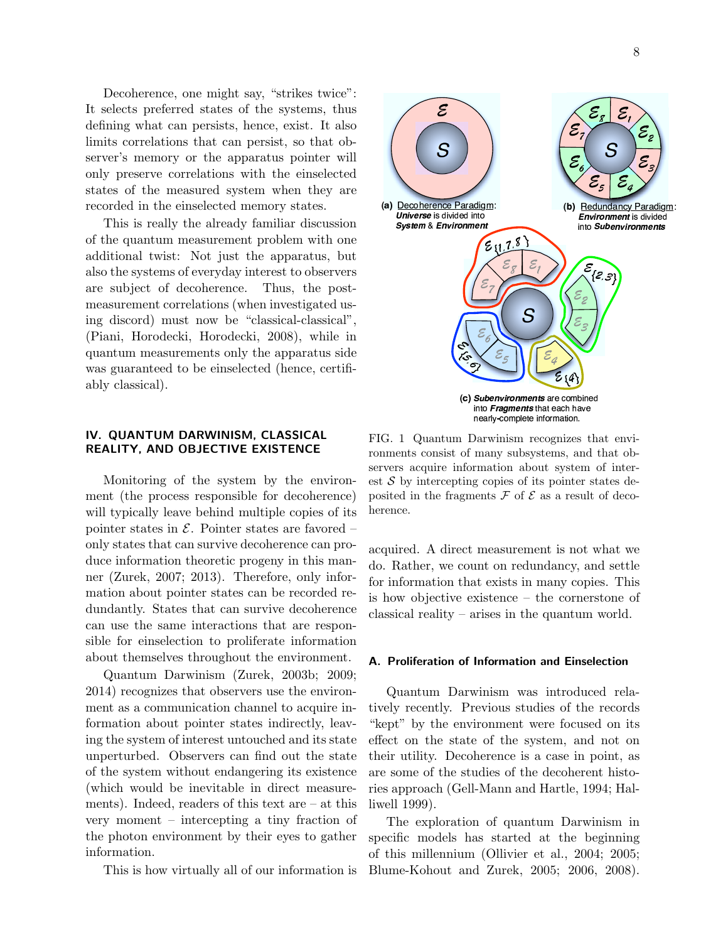Decoherence, one might say, "strikes twice": It selects preferred states of the systems, thus defining what can persists, hence, exist. It also limits correlations that can persist, so that observer's memory or the apparatus pointer will only preserve correlations with the einselected states of the measured system when they are recorded in the einselected memory states.

This is really the already familiar discussion of the quantum measurement problem with one additional twist: Not just the apparatus, but also the systems of everyday interest to observers are subject of decoherence. Thus, the postmeasurement correlations (when investigated using discord) must now be "classical-classical", (Piani, Horodecki, Horodecki, 2008), while in quantum measurements only the apparatus side was guaranteed to be einselected (hence, certifiably classical).

## IV. QUANTUM DARWINISM, CLASSICAL REALITY, AND OBJECTIVE EXISTENCE

Monitoring of the system by the environment (the process responsible for decoherence) will typically leave behind multiple copies of its pointer states in  $\mathcal{E}$ . Pointer states are favored – only states that can survive decoherence can produce information theoretic progeny in this manner (Zurek, 2007; 2013). Therefore, only information about pointer states can be recorded redundantly. States that can survive decoherence can use the same interactions that are responsible for einselection to proliferate information about themselves throughout the environment.

Quantum Darwinism (Zurek, 2003b; 2009; 2014) recognizes that observers use the environment as a communication channel to acquire information about pointer states indirectly, leaving the system of interest untouched and its state unperturbed. Observers can find out the state of the system without endangering its existence (which would be inevitable in direct measurements). Indeed, readers of this text are – at this very moment – intercepting a tiny fraction of the photon environment by their eyes to gather information.

This is how virtually all of our information is

FIG. 1 Quantum Darwinism recognizes that environments consist of many subsystems, and that observers acquire information about system of interest  $S$  by intercepting copies of its pointer states deposited in the fragments  $\mathcal F$  of  $\mathcal E$  as a result of decoherence.

acquired. A direct measurement is not what we do. Rather, we count on redundancy, and settle for information that exists in many copies. This is how objective existence – the cornerstone of classical reality – arises in the quantum world.

#### A. Proliferation of Information and Einselection

Quantum Darwinism was introduced relatively recently. Previous studies of the records "kept" by the environment were focused on its effect on the state of the system, and not on their utility. Decoherence is a case in point, as are some of the studies of the decoherent histories approach (Gell-Mann and Hartle, 1994; Halliwell 1999).

The exploration of quantum Darwinism in specific models has started at the beginning of this millennium (Ollivier et al., 2004; 2005; Blume-Kohout and Zurek, 2005; 2006, 2008).

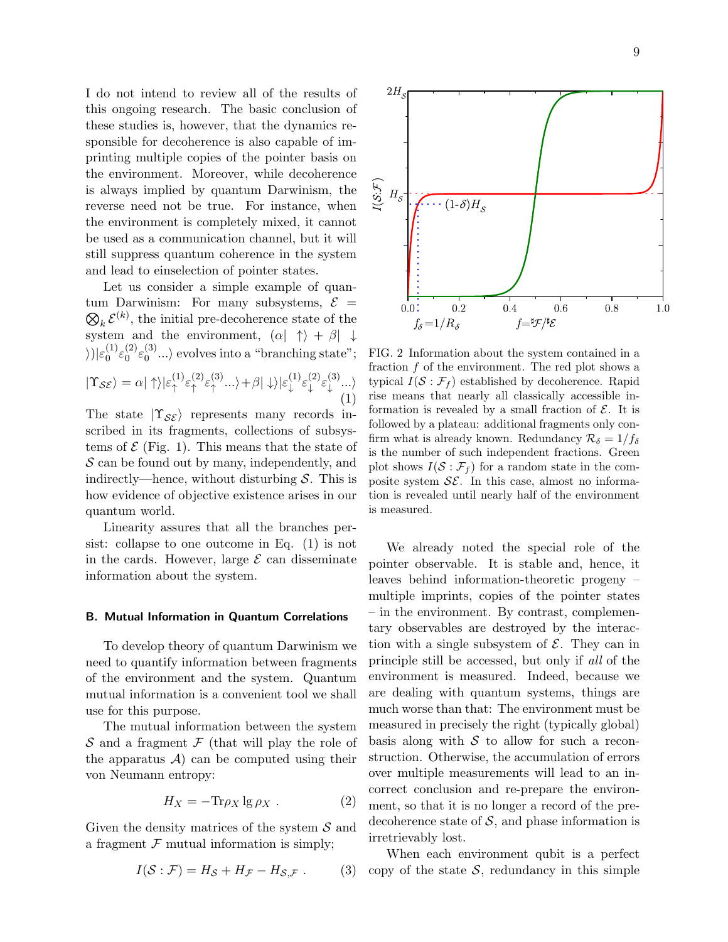I do not intend to review all of the results of this ongoing research. The basic conclusion of these studies is, however, that the dynamics responsible for decoherence is also capable of imprinting multiple copies of the pointer basis on the environment. Moreover, while decoherence is always implied by quantum Darwinism, the reverse need not be true. For instance, when the environment is completely mixed, it cannot be used as a communication channel, but it will still suppress quantum coherence in the system and lead to einselection of pointer states.

Let us consider a simple example of quantum Darwinism: For many subsystems,  $\mathcal{E}$  =  $\mathcal{D}_k \mathcal{E}^{(k)}$ , the initial pre-decoherence state of the system and the environment,  $(\alpha | \uparrow \rangle + \beta | \downarrow$  $\rangle$ ) $|\varepsilon_0^{(1)}\rangle$  $\mathcal{E}_0^{(1)}\mathcal{E}_0^{(2)}$  $\mathcal{E}^{(2)}_{0}\mathcal{E}^{(3)}_{0}$  $\binom{5}{0}$ ...) evolves into a "branching state";  $\langle 1 \rangle_{\varepsilon_1}$  $\langle 2 \rangle_{\varepsilon_2}$  $\langle 3 \rangle_{\varepsilon_3}$   $\langle 3 \rangle + \beta |\downarrow\rangle |\varepsilon_1^{(1)} \varepsilon_1^{(2)} \varepsilon_1^{(3)}$ 

$$
|\Upsilon_{\mathcal{SE}}\rangle = \alpha |\uparrow\rangle |\varepsilon_{\uparrow}^{(1)} \varepsilon_{\uparrow}^{(2)} \varepsilon_{\uparrow}^{(3)} ... \rangle + \beta |\downarrow\rangle |\varepsilon_{\downarrow}^{(1)} \varepsilon_{\downarrow}^{(2)} \varepsilon_{\downarrow}^{(3)} ... \rangle
$$
\n(1)

The state  $|\Upsilon_{\mathcal{S}\mathcal{E}}\rangle$  represents many records inscribed in its fragments, collections of subsystems of  $\mathcal E$  (Fig. 1). This means that the state of  $S$  can be found out by many, independently, and indirectly—hence, without disturbing  $S$ . This is how evidence of objective existence arises in our quantum world.

Linearity assures that all the branches persist: collapse to one outcome in Eq. (1) is not in the cards. However, large  $\mathcal E$  can disseminate information about the system.

### B. Mutual Information in Quantum Correlations

To develop theory of quantum Darwinism we need to quantify information between fragments of the environment and the system. Quantum mutual information is a convenient tool we shall use for this purpose.

The mutual information between the system  $\mathcal S$  and a fragment  $\mathcal F$  (that will play the role of the apparatus  $\mathcal{A}$  can be computed using their von Neumann entropy:

$$
H_X = -\text{Tr}\rho_X \lg \rho_X \ . \tag{2}
$$

Given the density matrices of the system  $\mathcal S$  and a fragment  $F$  mutual information is simply;

$$
I(S: \mathcal{F}) = H_{\mathcal{S}} + H_{\mathcal{F}} - H_{\mathcal{S}, \mathcal{F}}.
$$
 (3)



 $2H_s$ 

FIG. 2 Information about the system contained in a fraction  $f$  of the environment. The red plot shows a typical  $I(\mathcal{S} : \mathcal{F}_f)$  established by decoherence. Rapid rise means that nearly all classically accessible information is revealed by a small fraction of  $\mathcal{E}$ . It is followed by a plateau: additional fragments only confirm what is already known. Redundancy  $\mathcal{R}_{\delta} = 1/f_{\delta}$ is the number of such independent fractions. Green plot shows  $I(\mathcal{S} : \mathcal{F}_f)$  for a random state in the composite system  $\mathcal{SE}$ . In this case, almost no information is revealed until nearly half of the environment is measured.

We already noted the special role of the pointer observable. It is stable and, hence, it leaves behind information-theoretic progeny – multiple imprints, copies of the pointer states – in the environment. By contrast, complementary observables are destroyed by the interaction with a single subsystem of  $\mathcal{E}$ . They can in principle still be accessed, but only if all of the environment is measured. Indeed, because we are dealing with quantum systems, things are much worse than that: The environment must be measured in precisely the right (typically global) basis along with  $S$  to allow for such a reconstruction. Otherwise, the accumulation of errors over multiple measurements will lead to an incorrect conclusion and re-prepare the environment, so that it is no longer a record of the predecoherence state of  $S$ , and phase information is irretrievably lost.

When each environment qubit is a perfect copy of the state  $S$ , redundancy in this simple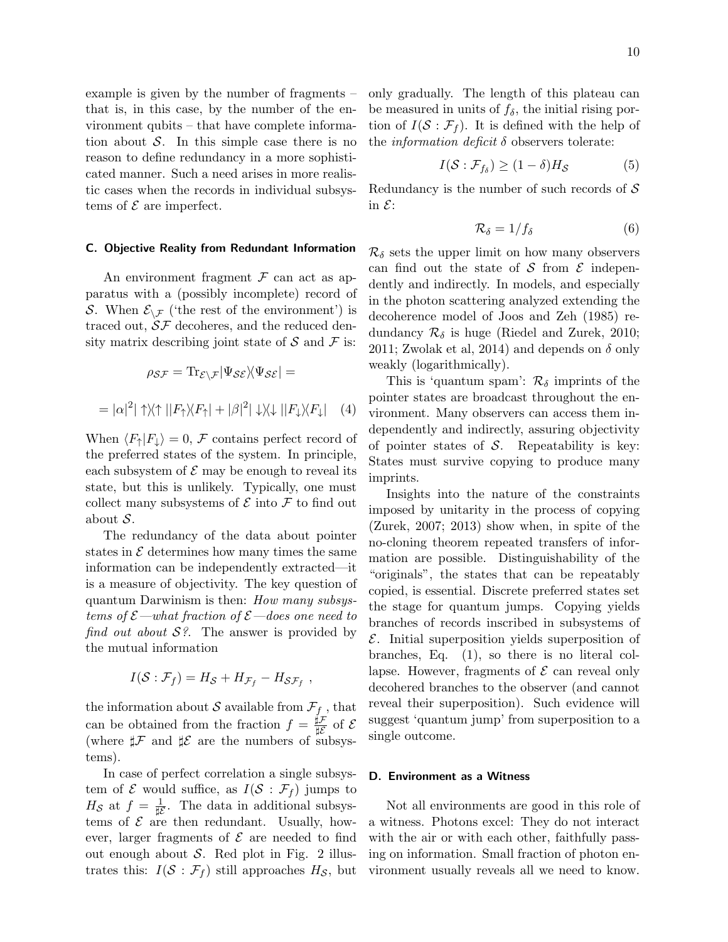example is given by the number of fragments – that is, in this case, by the number of the environment qubits – that have complete information about  $S$ . In this simple case there is no reason to define redundancy in a more sophisticated manner. Such a need arises in more realistic cases when the records in individual subsystems of  $\mathcal E$  are imperfect.

## C. Objective Reality from Redundant Information

An environment fragment  $\mathcal F$  can act as apparatus with a (possibly incomplete) record of S. When  $\mathcal{E}_{\setminus \mathcal{F}}$  ('the rest of the environment') is traced out,  $S\mathcal{F}$  decoheres, and the reduced density matrix describing joint state of  $\mathcal S$  and  $\mathcal F$  is:

$$
\rho_{\mathcal{SF}} = \text{Tr}_{\mathcal{E}\backslash\mathcal{F}} |\Psi_{\mathcal{SE}}\rangle \langle \Psi_{\mathcal{SE}}| =
$$

$$
|\alpha|^2 |\uparrow\rangle\langle\uparrow||F_{\uparrow}\rangle\langle F_{\uparrow}| + |\beta|^2 |\downarrow\rangle\langle\downarrow||F_{\downarrow}\rangle\langle F_{\downarrow}| \quad (4)
$$

When  $\langle F_{\uparrow}|F_{\downarrow}\rangle = 0$ , F contains perfect record of the preferred states of the system. In principle, each subsystem of  $\mathcal E$  may be enough to reveal its state, but this is unlikely. Typically, one must collect many subsystems of  $\mathcal E$  into  $\mathcal F$  to find out about S.

 $=$ 

The redundancy of the data about pointer states in  $\mathcal E$  determines how many times the same information can be independently extracted—it is a measure of objectivity. The key question of quantum Darwinism is then: How many subsystems of  $\mathcal{E}-$ what fraction of  $\mathcal{E}-$ does one need to find out about  $S$ ?. The answer is provided by the mutual information

$$
I(S: \mathcal{F}_f) = H_S + H_{\mathcal{F}_f} - H_{\mathcal{SF}_f} ,
$$

the information about  $\mathcal S$  available from  $\mathcal F_f$  , that can be obtained from the fraction  $f = \frac{\sharp \mathcal{F}}{\sharp \mathcal{F}}$  $\frac{\mu}{\mu \mathcal{E}}$  of  $\mathcal{E}$ (where  $\sharp \mathcal{F}$  and  $\sharp \mathcal{E}$  are the numbers of subsystems).

In case of perfect correlation a single subsystem of  $\mathcal E$  would suffice, as  $I(\mathcal S : \mathcal F_f)$  jumps to  $H_{\mathcal{S}}$  at  $f = \frac{1}{\sharp \mathcal{E}}$ . The data in additional subsystems of  $\mathcal E$  are then redundant. Usually, however, larger fragments of  $\mathcal E$  are needed to find out enough about  $S$ . Red plot in Fig. 2 illustrates this:  $I(S : \mathcal{F}_f)$  still approaches  $H_{\mathcal{S}}$ , but only gradually. The length of this plateau can be measured in units of  $f_{\delta}$ , the initial rising portion of  $I(\mathcal{S} : \mathcal{F}_f)$ . It is defined with the help of the *information deficit*  $\delta$  observers tolerate:

$$
I(\mathcal{S} : \mathcal{F}_{f_{\delta}}) \ge (1 - \delta)H_{\mathcal{S}}
$$
 (5)

Redundancy is the number of such records of  $S$ in  $\mathcal{E}$ :

$$
\mathcal{R}_{\delta} = 1/f_{\delta} \tag{6}
$$

 $\mathcal{R}_{\delta}$  sets the upper limit on how many observers can find out the state of S from  $\mathcal E$  independently and indirectly. In models, and especially in the photon scattering analyzed extending the decoherence model of Joos and Zeh (1985) redundancy  $\mathcal{R}_{\delta}$  is huge (Riedel and Zurek, 2010; 2011; Zwolak et al, 2014) and depends on  $\delta$  only weakly (logarithmically).

This is 'quantum spam':  $\mathcal{R}_{\delta}$  imprints of the pointer states are broadcast throughout the environment. Many observers can access them independently and indirectly, assuring objectivity of pointer states of  $S$ . Repeatability is key: States must survive copying to produce many imprints.

Insights into the nature of the constraints imposed by unitarity in the process of copying (Zurek, 2007; 2013) show when, in spite of the no-cloning theorem repeated transfers of information are possible. Distinguishability of the "originals", the states that can be repeatably copied, is essential. Discrete preferred states set the stage for quantum jumps. Copying yields branches of records inscribed in subsystems of  $\mathcal{E}$ . Initial superposition yields superposition of branches, Eq. (1), so there is no literal collapse. However, fragments of  $\mathcal E$  can reveal only decohered branches to the observer (and cannot reveal their superposition). Such evidence will suggest 'quantum jump' from superposition to a single outcome.

## D. Environment as a Witness

Not all environments are good in this role of a witness. Photons excel: They do not interact with the air or with each other, faithfully passing on information. Small fraction of photon environment usually reveals all we need to know.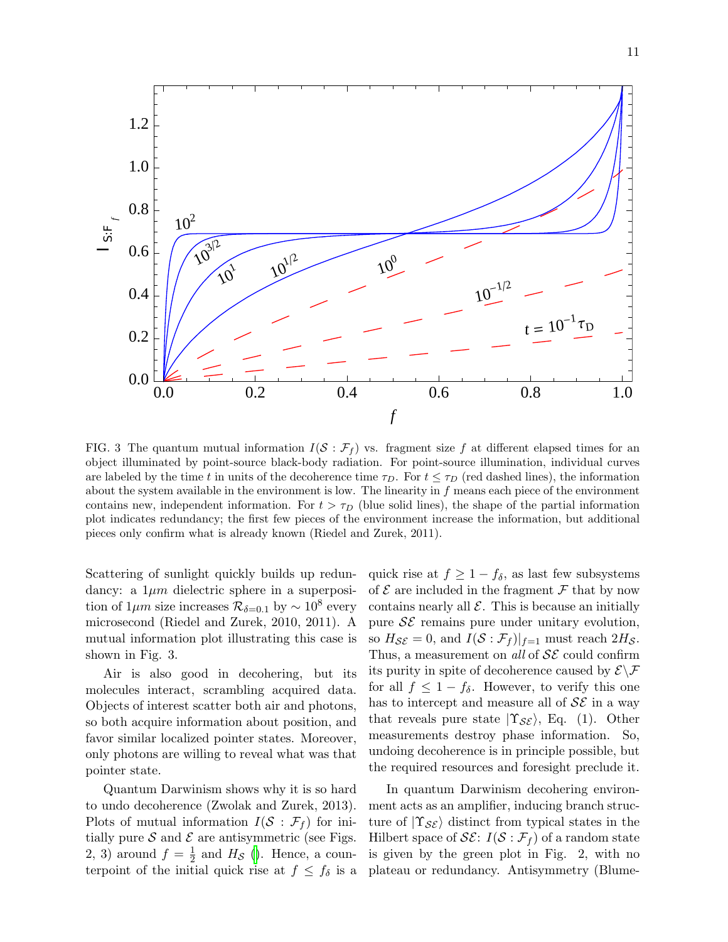

FIG. 3 The quantum mutual information  $I(S : \mathcal{F}_f)$  vs. fragment size f at different elapsed times for an object illuminated by point-source black-body radiation. For point-source illumination, individual curves are labeled by the time t in units of the decoherence time  $\tau_D$ . For  $t \leq \tau_D$  (red dashed lines), the information about the system available in the environment is low. The linearity in  $f$  means each piece of the environment contains new, independent information. For  $t > \tau_D$  (blue solid lines), the shape of the partial information plot indicates redundancy; the first few pieces of the environment increase the information, but additional pieces only confirm what is already known (Riedel and Zurek, 2011).

Scattering of sunlight quickly builds up redundancy: a  $1\mu m$  dielectric sphere in a superposition of  $1\mu m$  size increases  $\mathcal{R}_{\delta=0.1}$  by  $\sim 10^8$  every microsecond (Riedel and Zurek, 2010, 2011). A mutual information plot illustrating this case is shown in Fig. 3.

Air is also good in decohering, but its molecules interact, scrambling acquired data. Objects of interest scatter both air and photons, so both acquire information about position, and favor similar localized pointer states. Moreover, only photons are willing to reveal what was that pointer state.

Quantum Darwinism shows why it is so hard to undo decoherence (Zwolak and Zurek, 2013). Plots of mutual information  $I(S : \mathcal{F}_f)$  for initially pure  $S$  and  $\mathcal E$  are antisymmetric (see Figs. 2, 3) around  $f = \frac{1}{2}$  $\frac{1}{2}$  and  $H_{\mathcal{S}}$  [\(\)](#page-14-0). Hence, a counterpoint of the initial quick rise at  $f \n\leq f_\delta$  is a quick rise at  $f \geq 1 - f_{\delta}$ , as last few subsystems of  $\mathcal E$  are included in the fragment  $\mathcal F$  that by now contains nearly all  $\mathcal E$ . This is because an initially pure  $\mathcal{S}\mathcal{E}$  remains pure under unitary evolution, so  $H_{\mathcal{S}\mathcal{E}} = 0$ , and  $I(\mathcal{S} : \mathcal{F}_f)|_{f=1}$  must reach  $2H_{\mathcal{S}}$ . Thus, a measurement on all of  $\mathcal{S}\mathcal{E}$  could confirm its purity in spite of decoherence caused by  $\mathcal{E}\setminus\mathcal{F}$ for all  $f \leq 1 - f_{\delta}$ . However, to verify this one has to intercept and measure all of  $\mathcal{S}\mathcal{E}$  in a way that reveals pure state  $|\Upsilon_{\mathcal{S}\mathcal{E}}\rangle$ , Eq. (1). Other measurements destroy phase information. So, undoing decoherence is in principle possible, but the required resources and foresight preclude it.

In quantum Darwinism decohering environment acts as an amplifier, inducing branch structure of  $|\Upsilon_{\mathcal{S}\mathcal{E}}\rangle$  distinct from typical states in the Hilbert space of  $\mathcal{SE}: I(\mathcal{S}:\mathcal{F}_f)$  of a random state is given by the green plot in Fig. 2, with no plateau or redundancy. Antisymmetry (Blume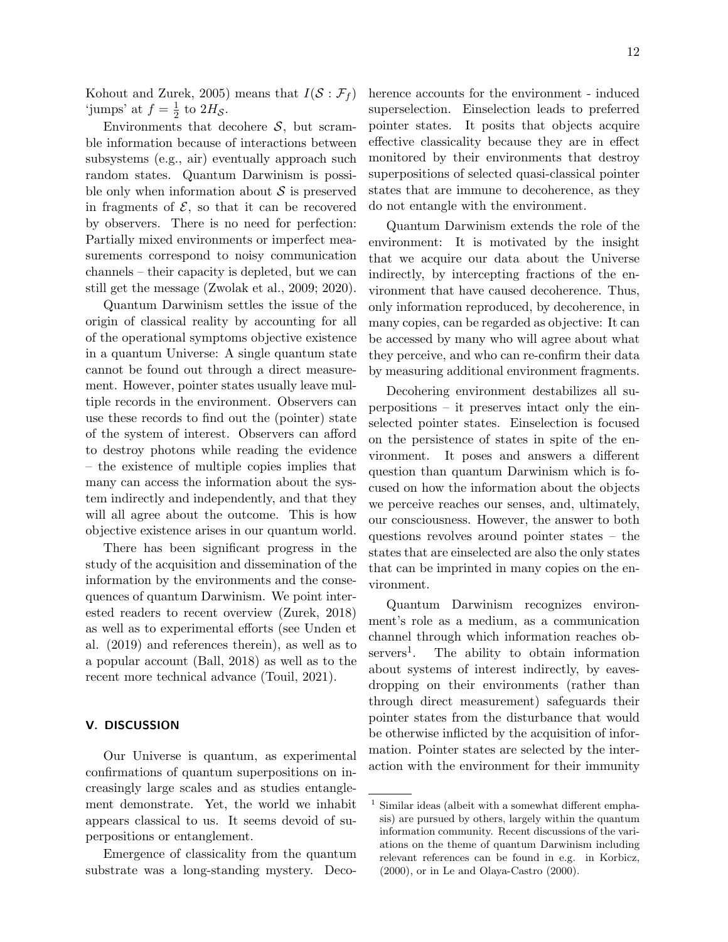Kohout and Zurek, 2005) means that  $I(S : \mathcal{F}_f)$ 'jumps' at  $f = \frac{1}{2}$  $rac{1}{2}$  to  $2H_{\mathcal{S}}$ .

Environments that decohere  $S$ , but scramble information because of interactions between subsystems (e.g., air) eventually approach such random states. Quantum Darwinism is possible only when information about  $\mathcal S$  is preserved in fragments of  $\mathcal{E}$ , so that it can be recovered by observers. There is no need for perfection: Partially mixed environments or imperfect measurements correspond to noisy communication channels – their capacity is depleted, but we can still get the message (Zwolak et al., 2009; 2020).

Quantum Darwinism settles the issue of the origin of classical reality by accounting for all of the operational symptoms objective existence in a quantum Universe: A single quantum state cannot be found out through a direct measurement. However, pointer states usually leave multiple records in the environment. Observers can use these records to find out the (pointer) state of the system of interest. Observers can afford to destroy photons while reading the evidence – the existence of multiple copies implies that many can access the information about the system indirectly and independently, and that they will all agree about the outcome. This is how objective existence arises in our quantum world.

There has been significant progress in the study of the acquisition and dissemination of the information by the environments and the consequences of quantum Darwinism. We point interested readers to recent overview (Zurek, 2018) as well as to experimental efforts (see Unden et al. (2019) and references therein), as well as to a popular account (Ball, 2018) as well as to the recent more technical advance (Touil, 2021).

## V. DISCUSSION

Our Universe is quantum, as experimental confirmations of quantum superpositions on increasingly large scales and as studies entanglement demonstrate. Yet, the world we inhabit appears classical to us. It seems devoid of superpositions or entanglement.

Emergence of classicality from the quantum substrate was a long-standing mystery. Decoherence accounts for the environment - induced superselection. Einselection leads to preferred pointer states. It posits that objects acquire effective classicality because they are in effect monitored by their environments that destroy superpositions of selected quasi-classical pointer states that are immune to decoherence, as they do not entangle with the environment.

Quantum Darwinism extends the role of the environment: It is motivated by the insight that we acquire our data about the Universe indirectly, by intercepting fractions of the environment that have caused decoherence. Thus, only information reproduced, by decoherence, in many copies, can be regarded as objective: It can be accessed by many who will agree about what they perceive, and who can re-confirm their data by measuring additional environment fragments.

Decohering environment destabilizes all superpositions – it preserves intact only the einselected pointer states. Einselection is focused on the persistence of states in spite of the environment. It poses and answers a different question than quantum Darwinism which is focused on how the information about the objects we perceive reaches our senses, and, ultimately, our consciousness. However, the answer to both questions revolves around pointer states – the states that are einselected are also the only states that can be imprinted in many copies on the environment.

Quantum Darwinism recognizes environment's role as a medium, as a communication channel through which information reaches ob $s$ ervers<sup>1</sup>. . The ability to obtain information about systems of interest indirectly, by eavesdropping on their environments (rather than through direct measurement) safeguards their pointer states from the disturbance that would be otherwise inflicted by the acquisition of information. Pointer states are selected by the interaction with the environment for their immunity

Similar ideas (albeit with a somewhat different emphasis) are pursued by others, largely within the quantum information community. Recent discussions of the variations on the theme of quantum Darwinism including relevant references can be found in e.g. in Korbicz, (2000), or in Le and Olaya-Castro (2000).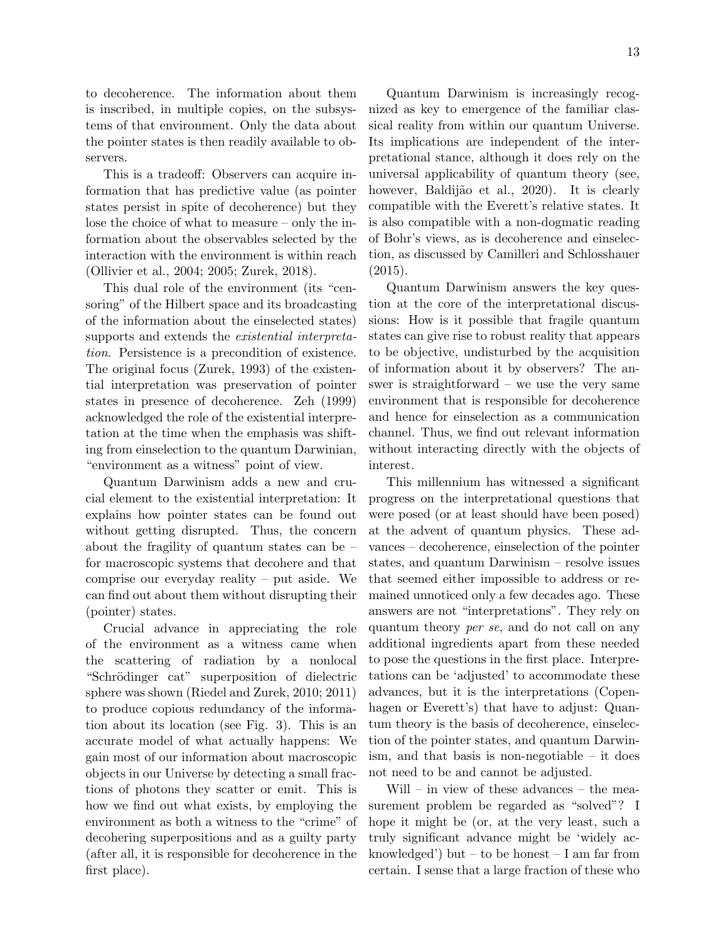to decoherence. The information about them is inscribed, in multiple copies, on the subsystems of that environment. Only the data about the pointer states is then readily available to observers.

This is a tradeoff: Observers can acquire information that has predictive value (as pointer states persist in spite of decoherence) but they lose the choice of what to measure – only the information about the observables selected by the interaction with the environment is within reach (Ollivier et al., 2004; 2005; Zurek, 2018).

This dual role of the environment (its "censoring" of the Hilbert space and its broadcasting of the information about the einselected states) supports and extends the existential interpretation. Persistence is a precondition of existence. The original focus (Zurek, 1993) of the existential interpretation was preservation of pointer states in presence of decoherence. Zeh (1999) acknowledged the role of the existential interpretation at the time when the emphasis was shifting from einselection to the quantum Darwinian, "environment as a witness" point of view.

Quantum Darwinism adds a new and crucial element to the existential interpretation: It explains how pointer states can be found out without getting disrupted. Thus, the concern about the fragility of quantum states can be – for macroscopic systems that decohere and that comprise our everyday reality – put aside. We can find out about them without disrupting their (pointer) states.

Crucial advance in appreciating the role of the environment as a witness came when the scattering of radiation by a nonlocal "Schrödinger cat" superposition of dielectric sphere was shown (Riedel and Zurek, 2010; 2011) to produce copious redundancy of the information about its location (see Fig. 3). This is an accurate model of what actually happens: We gain most of our information about macroscopic objects in our Universe by detecting a small fractions of photons they scatter or emit. This is how we find out what exists, by employing the environment as both a witness to the "crime" of decohering superpositions and as a guilty party (after all, it is responsible for decoherence in the first place).

Quantum Darwinism is increasingly recognized as key to emergence of the familiar classical reality from within our quantum Universe. Its implications are independent of the interpretational stance, although it does rely on the universal applicability of quantum theory (see, however, Baldijão et al., 2020). It is clearly compatible with the Everett's relative states. It is also compatible with a non-dogmatic reading of Bohr's views, as is decoherence and einselection, as discussed by Camilleri and Schlosshauer  $(2015).$ 

Quantum Darwinism answers the key question at the core of the interpretational discussions: How is it possible that fragile quantum states can give rise to robust reality that appears to be objective, undisturbed by the acquisition of information about it by observers? The answer is straightforward – we use the very same environment that is responsible for decoherence and hence for einselection as a communication channel. Thus, we find out relevant information without interacting directly with the objects of interest.

This millennium has witnessed a significant progress on the interpretational questions that were posed (or at least should have been posed) at the advent of quantum physics. These advances – decoherence, einselection of the pointer states, and quantum Darwinism – resolve issues that seemed either impossible to address or remained unnoticed only a few decades ago. These answers are not "interpretations". They rely on quantum theory per se, and do not call on any additional ingredients apart from these needed to pose the questions in the first place. Interpretations can be 'adjusted' to accommodate these advances, but it is the interpretations (Copenhagen or Everett's) that have to adjust: Quantum theory is the basis of decoherence, einselection of the pointer states, and quantum Darwinism, and that basis is non-negotiable – it does not need to be and cannot be adjusted.

Will – in view of these advances – the measurement problem be regarded as "solved"? I hope it might be (or, at the very least, such a truly significant advance might be 'widely acknowledged') but – to be honest – I am far from certain. I sense that a large fraction of these who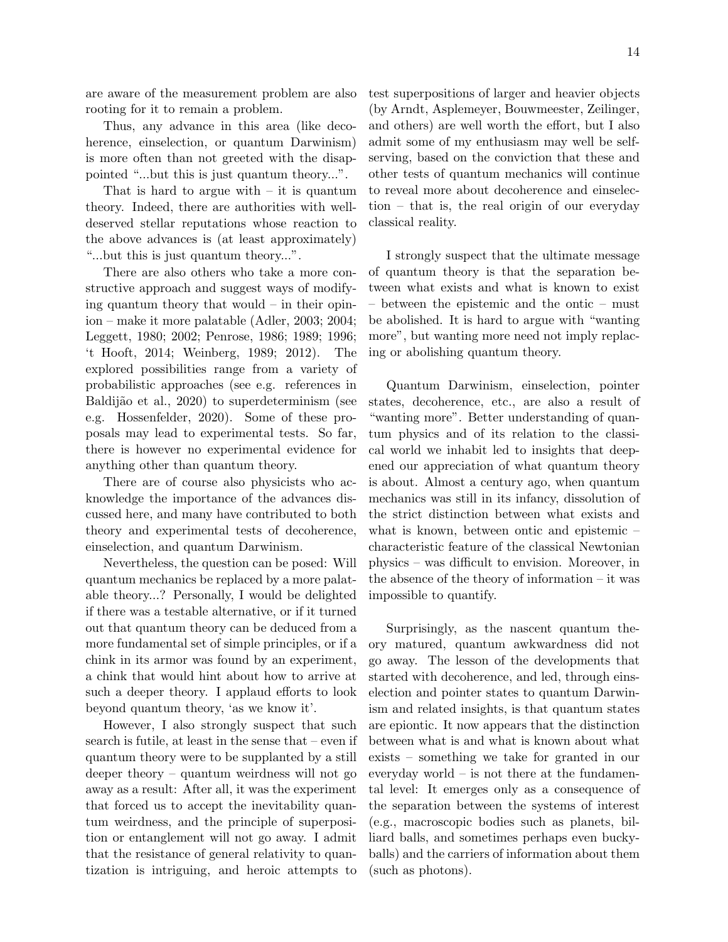are aware of the measurement problem are also rooting for it to remain a problem.

Thus, any advance in this area (like decoherence, einselection, or quantum Darwinism) is more often than not greeted with the disappointed "...but this is just quantum theory...".

That is hard to argue with  $-$  it is quantum theory. Indeed, there are authorities with welldeserved stellar reputations whose reaction to the above advances is (at least approximately) "...but this is just quantum theory...".

There are also others who take a more constructive approach and suggest ways of modifying quantum theory that would – in their opinion – make it more palatable (Adler, 2003; 2004; Leggett, 1980; 2002; Penrose, 1986; 1989; 1996; 't Hooft, 2014; Weinberg, 1989; 2012). The explored possibilities range from a variety of probabilistic approaches (see e.g. references in Baldijão et al., 2020) to superdeterminism (see e.g. Hossenfelder, 2020). Some of these proposals may lead to experimental tests. So far, there is however no experimental evidence for anything other than quantum theory.

There are of course also physicists who acknowledge the importance of the advances discussed here, and many have contributed to both theory and experimental tests of decoherence, einselection, and quantum Darwinism.

Nevertheless, the question can be posed: Will quantum mechanics be replaced by a more palatable theory...? Personally, I would be delighted if there was a testable alternative, or if it turned out that quantum theory can be deduced from a more fundamental set of simple principles, or if a chink in its armor was found by an experiment, a chink that would hint about how to arrive at such a deeper theory. I applaud efforts to look beyond quantum theory, 'as we know it'.

However, I also strongly suspect that such search is futile, at least in the sense that – even if quantum theory were to be supplanted by a still deeper theory – quantum weirdness will not go away as a result: After all, it was the experiment that forced us to accept the inevitability quantum weirdness, and the principle of superposition or entanglement will not go away. I admit that the resistance of general relativity to quantization is intriguing, and heroic attempts to

test superpositions of larger and heavier objects (by Arndt, Asplemeyer, Bouwmeester, Zeilinger, and others) are well worth the effort, but I also admit some of my enthusiasm may well be selfserving, based on the conviction that these and other tests of quantum mechanics will continue to reveal more about decoherence and einselection – that is, the real origin of our everyday classical reality.

I strongly suspect that the ultimate message of quantum theory is that the separation between what exists and what is known to exist – between the epistemic and the ontic – must be abolished. It is hard to argue with "wanting more", but wanting more need not imply replacing or abolishing quantum theory.

Quantum Darwinism, einselection, pointer states, decoherence, etc., are also a result of "wanting more". Better understanding of quantum physics and of its relation to the classical world we inhabit led to insights that deepened our appreciation of what quantum theory is about. Almost a century ago, when quantum mechanics was still in its infancy, dissolution of the strict distinction between what exists and what is known, between ontic and epistemic – characteristic feature of the classical Newtonian physics – was difficult to envision. Moreover, in the absence of the theory of information – it was impossible to quantify.

Surprisingly, as the nascent quantum theory matured, quantum awkwardness did not go away. The lesson of the developments that started with decoherence, and led, through einselection and pointer states to quantum Darwinism and related insights, is that quantum states are epiontic. It now appears that the distinction between what is and what is known about what exists – something we take for granted in our everyday world – is not there at the fundamental level: It emerges only as a consequence of the separation between the systems of interest (e.g., macroscopic bodies such as planets, billiard balls, and sometimes perhaps even buckyballs) and the carriers of information about them (such as photons).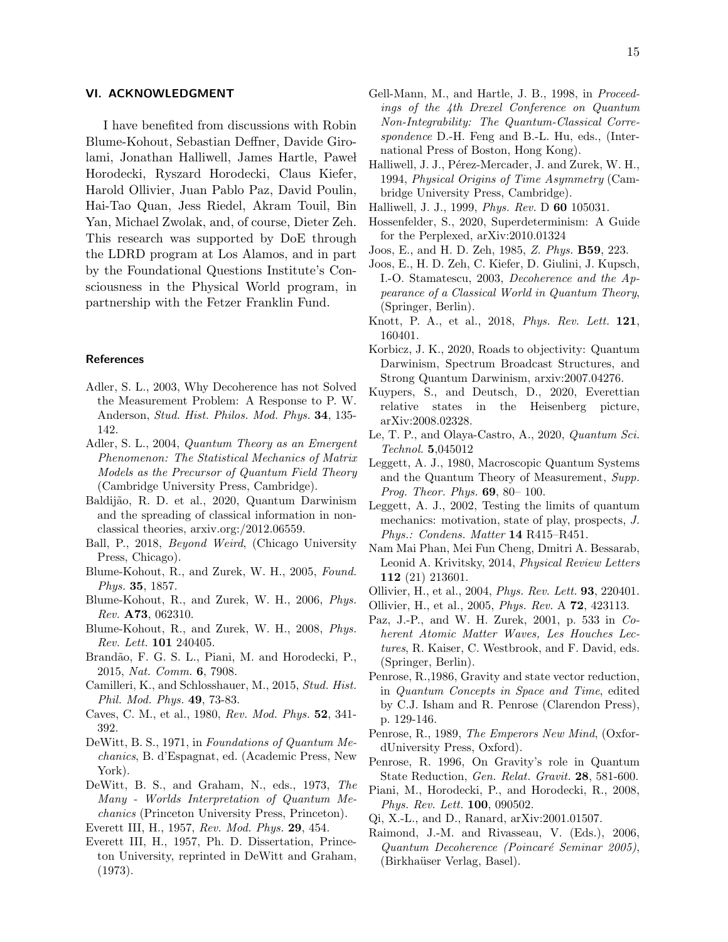### VI. ACKNOWLEDGMENT

I have benefited from discussions with Robin Blume-Kohout, Sebastian Deffner, Davide Girolami, Jonathan Halliwell, James Hartle, Pawel Horodecki, Ryszard Horodecki, Claus Kiefer, Harold Ollivier, Juan Pablo Paz, David Poulin, Hai-Tao Quan, Jess Riedel, Akram Touil, Bin Yan, Michael Zwolak, and, of course, Dieter Zeh. This research was supported by DoE through the LDRD program at Los Alamos, and in part by the Foundational Questions Institute's Consciousness in the Physical World program, in partnership with the Fetzer Franklin Fund.

## **References**

- Adler, S. L., 2003, Why Decoherence has not Solved the Measurement Problem: A Response to P. W. Anderson, Stud. Hist. Philos. Mod. Phys. 34, 135- 142.
- Adler, S. L., 2004, Quantum Theory as an Emergent Phenomenon: The Statistical Mechanics of Matrix Models as the Precursor of Quantum Field Theory (Cambridge University Press, Cambridge).
- Baldijão, R. D. et al., 2020, Quantum Darwinism and the spreading of classical information in nonclassical theories, arxiv.org:/2012.06559.
- Ball, P., 2018, Beyond Weird, (Chicago University Press, Chicago).
- <span id="page-14-0"></span>Blume-Kohout, R., and Zurek, W. H., 2005, Found. Phys. 35, 1857.
- Blume-Kohout, R., and Zurek, W. H., 2006, Phys. Rev. A73, 062310.
- Blume-Kohout, R., and Zurek, W. H., 2008, Phys. Rev. Lett. 101 240405.
- Brandão, F. G. S. L., Piani, M. and Horodecki, P., 2015, Nat. Comm. 6, 7908.
- Camilleri, K., and Schlosshauer, M., 2015, Stud. Hist. Phil. Mod. Phys. 49, 73-83.
- Caves, C. M., et al., 1980, Rev. Mod. Phys. 52, 341- 392.
- DeWitt, B. S., 1971, in Foundations of Quantum Mechanics, B. d'Espagnat, ed. (Academic Press, New York).
- DeWitt, B. S., and Graham, N., eds., 1973, The Many - Worlds Interpretation of Quantum Mechanics (Princeton University Press, Princeton).
- Everett III, H., 1957, Rev. Mod. Phys. 29, 454.
- Everett III, H., 1957, Ph. D. Dissertation, Princeton University, reprinted in DeWitt and Graham, (1973).
- Gell-Mann, M., and Hartle, J. B., 1998, in Proceedings of the 4th Drexel Conference on Quantum Non-Integrability: The Quantum-Classical Correspondence D.-H. Feng and B.-L. Hu, eds., (International Press of Boston, Hong Kong).
- Halliwell, J. J., Pérez-Mercader, J. and Zurek, W. H., 1994, Physical Origins of Time Asymmetry (Cambridge University Press, Cambridge).
- Halliwell, J. J., 1999, Phys. Rev. D 60 105031.
- Hossenfelder, S., 2020, Superdeterminism: A Guide for the Perplexed, arXiv:2010.01324
- Joos, E., and H. D. Zeh, 1985, Z. Phys. B59, 223.
- Joos, E., H. D. Zeh, C. Kiefer, D. Giulini, J. Kupsch, I.-O. Stamatescu, 2003, Decoherence and the Appearance of a Classical World in Quantum Theory, (Springer, Berlin).
- Knott, P. A., et al., 2018, Phys. Rev. Lett. 121, 160401.
- Korbicz, J. K., 2020, Roads to objectivity: Quantum Darwinism, Spectrum Broadcast Structures, and Strong Quantum Darwinism, arxiv:2007.04276.
- Kuypers, S., and Deutsch, D., 2020, Everettian relative states in the Heisenberg picture, arXiv:2008.02328.
- Le, T. P., and Olaya-Castro, A., 2020, Quantum Sci. Technol. 5,045012
- Leggett, A. J., 1980, Macroscopic Quantum Systems and the Quantum Theory of Measurement, Supp. Prog. Theor. Phys. 69, 80– 100.
- Leggett, A. J., 2002, Testing the limits of quantum mechanics: motivation, state of play, prospects, J. Phys.: Condens. Matter 14 R415–R451.
- Nam Mai Phan, Mei Fun Cheng, Dmitri A. Bessarab, Leonid A. Krivitsky, 2014, Physical Review Letters 112 (21) 213601.
- Ollivier, H., et al., 2004, Phys. Rev. Lett. 93, 220401.
- Ollivier, H., et al., 2005, Phys. Rev. A 72, 423113.
- Paz, J.-P., and W. H. Zurek, 2001, p. 533 in Coherent Atomic Matter Waves, Les Houches Lectures, R. Kaiser, C. Westbrook, and F. David, eds. (Springer, Berlin).
- Penrose, R.,1986, Gravity and state vector reduction, in Quantum Concepts in Space and Time, edited by C.J. Isham and R. Penrose (Clarendon Press), p. 129-146.
- Penrose, R., 1989, The Emperors New Mind, (OxfordUniversity Press, Oxford).
- Penrose, R. 1996, On Gravity's role in Quantum State Reduction, Gen. Relat. Gravit. 28, 581-600.
- Piani, M., Horodecki, P., and Horodecki, R., 2008, Phys. Rev. Lett. 100, 090502.
- Qi, X.-L., and D., Ranard, arXiv:2001.01507.
- Raimond, J.-M. and Rivasseau, V. (Eds.), 2006, Quantum Decoherence (Poincaré Seminar 2005), (Birkhaüser Verlag, Basel).